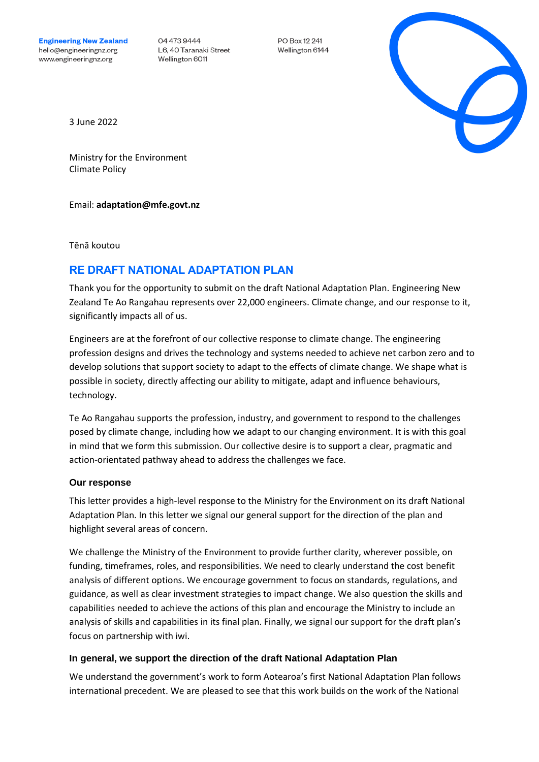04 473 9444 L6, 40 Taranaki Street Wellington 6011

PO Box 12 241 Wellington 6144



3 June 2022

Ministry for the Environment Climate Policy

Email: **[adaptation@mfe.govt.nz](mailto:adaptation@mfe.govt.nz)**

Tēnā koutou

# **RE DRAFT NATIONAL ADAPTATION PLAN**

Thank you for the opportunity to submit on the draft National Adaptation Plan. Engineering New Zealand Te Ao Rangahau represents over 22,000 engineers. Climate change, and our response to it, significantly impacts all of us.

Engineers are at the forefront of our collective response to climate change. The engineering profession designs and drives the technology and systems needed to achieve net carbon zero and to develop solutions that support society to adapt to the effects of climate change. We shape what is possible in society, directly affecting our ability to mitigate, adapt and influence behaviours, technology.

Te Ao Rangahau supports the profession, industry, and government to respond to the challenges posed by climate change, including how we adapt to our changing environment. It is with this goal in mind that we form this submission. Our collective desire is to support a clear, pragmatic and action-orientated pathway ahead to address the challenges we face.

### **Our response**

This letter provides a high-level response to the Ministry for the Environment on its draft National Adaptation Plan. In this letter we signal our general support for the direction of the plan and highlight several areas of concern.

We challenge the Ministry of the Environment to provide further clarity, wherever possible, on funding, timeframes, roles, and responsibilities. We need to clearly understand the cost benefit analysis of different options. We encourage government to focus on standards, regulations, and guidance, as well as clear investment strategies to impact change. We also question the skills and capabilities needed to achieve the actions of this plan and encourage the Ministry to include an analysis of skills and capabilities in its final plan. Finally, we signal our support for the draft plan's focus on partnership with iwi.

# **In general, we support the direction of the draft National Adaptation Plan**

We understand the government's work to form Aotearoa's first National Adaptation Plan follows international precedent. We are pleased to see that this work builds on the work of the National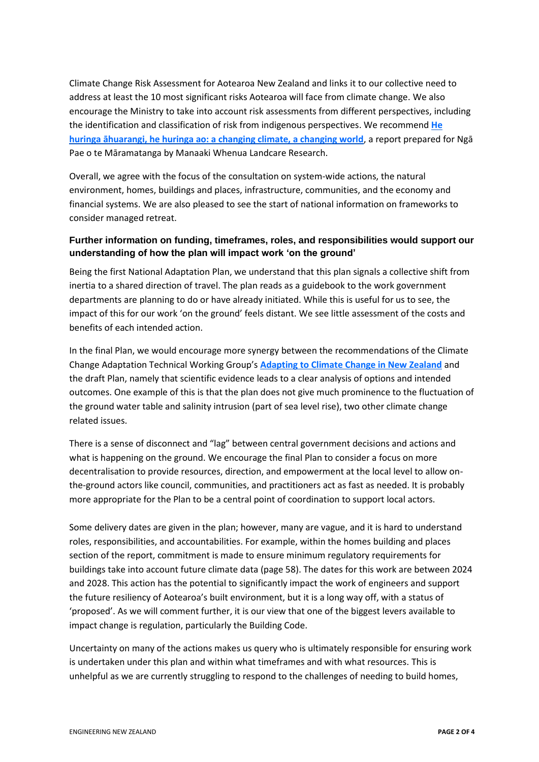Climate Change Risk Assessment for Aotearoa New Zealand and links it to our collective need to address at least the 10 most significant risks Aotearoa will face from climate change. We also encourage the Ministry to take into account risk assessments from different perspectives, including the identification and classification of risk from indigenous perspectives. We recommend **[He](http://www.maramatanga.co.nz/report/he-huringa-huarangi-he-huringa-ao-changing-climate-changing-world)  [huringa āhuarangi, he huringa ao: a changing climate, a changing world](http://www.maramatanga.co.nz/report/he-huringa-huarangi-he-huringa-ao-changing-climate-changing-world)**, a report prepared for Ngā Pae o te Māramatanga by Manaaki Whenua Landcare Research.

Overall, we agree with the focus of the consultation on system-wide actions, the natural environment, homes, buildings and places, infrastructure, communities, and the economy and financial systems. We are also pleased to see the start of national information on frameworks to consider managed retreat.

# **Further information on funding, timeframes, roles, and responsibilities would support our understanding of how the plan will impact work 'on the ground'**

Being the first National Adaptation Plan, we understand that this plan signals a collective shift from inertia to a shared direction of travel. The plan reads as a guidebook to the work government departments are planning to do or have already initiated. While this is useful for us to see, the impact of this for our work 'on the ground' feels distant. We see little assessment of the costs and benefits of each intended action.

In the final Plan, we would encourage more synergy between the recommendations of the Climate Change Adaptation Technical Working Group's **[Adapting to Climate Change in New Zealand](https://environment.govt.nz/publications/adapting-to-climate-change-in-new-zealand-recommendations-from-the-climate-change-adaptation-technical-working-group/)** and the draft Plan, namely that scientific evidence leads to a clear analysis of options and intended outcomes. One example of this is that the plan does not give much prominence to the fluctuation of the ground water table and salinity intrusion (part of sea level rise), two other climate change related issues.

There is a sense of disconnect and "lag" between central government decisions and actions and what is happening on the ground. We encourage the final Plan to consider a focus on more decentralisation to provide resources, direction, and empowerment at the local level to allow onthe-ground actors like council, communities, and practitioners act as fast as needed. It is probably more appropriate for the Plan to be a central point of coordination to support local actors.

Some delivery dates are given in the plan; however, many are vague, and it is hard to understand roles, responsibilities, and accountabilities. For example, within the homes building and places section of the report, commitment is made to ensure minimum regulatory requirements for buildings take into account future climate data (page 58). The dates for this work are between 2024 and 2028. This action has the potential to significantly impact the work of engineers and support the future resiliency of Aotearoa's built environment, but it is a long way off, with a status of 'proposed'. As we will comment further, it is our view that one of the biggest levers available to impact change is regulation, particularly the Building Code.

Uncertainty on many of the actions makes us query who is ultimately responsible for ensuring work is undertaken under this plan and within what timeframes and with what resources. This is unhelpful as we are currently struggling to respond to the challenges of needing to build homes,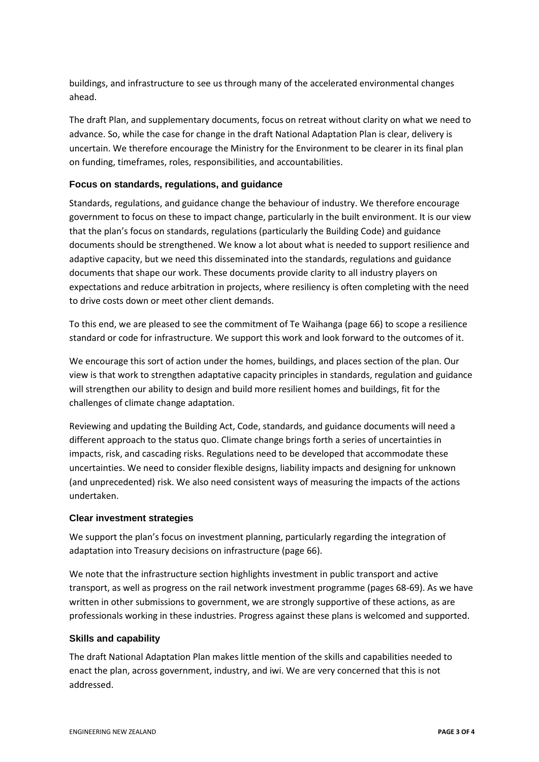buildings, and infrastructure to see us through many of the accelerated environmental changes ahead.

The draft Plan, and supplementary documents, focus on retreat without clarity on what we need to advance. So, while the case for change in the draft National Adaptation Plan is clear, delivery is uncertain. We therefore encourage the Ministry for the Environment to be clearer in its final plan on funding, timeframes, roles, responsibilities, and accountabilities.

# **Focus on standards, regulations, and guidance**

Standards, regulations, and guidance change the behaviour of industry. We therefore encourage government to focus on these to impact change, particularly in the built environment. It is our view that the plan's focus on standards, regulations (particularly the Building Code) and guidance documents should be strengthened. We know a lot about what is needed to support resilience and adaptive capacity, but we need this disseminated into the standards, regulations and guidance documents that shape our work. These documents provide clarity to all industry players on expectations and reduce arbitration in projects, where resiliency is often completing with the need to drive costs down or meet other client demands.

To this end, we are pleased to see the commitment of Te Waihanga (page 66) to scope a resilience standard or code for infrastructure. We support this work and look forward to the outcomes of it.

We encourage this sort of action under the homes, buildings, and places section of the plan. Our view is that work to strengthen adaptative capacity principles in standards, regulation and guidance will strengthen our ability to design and build more resilient homes and buildings, fit for the challenges of climate change adaptation.

Reviewing and updating the Building Act, Code, standards, and guidance documents will need a different approach to the status quo. Climate change brings forth a series of uncertainties in impacts, risk, and cascading risks. Regulations need to be developed that accommodate these uncertainties. We need to consider flexible designs, liability impacts and designing for unknown (and unprecedented) risk. We also need consistent ways of measuring the impacts of the actions undertaken.

### **Clear investment strategies**

We support the plan's focus on investment planning, particularly regarding the integration of adaptation into Treasury decisions on infrastructure (page 66).

We note that the infrastructure section highlights investment in public transport and active transport, as well as progress on the rail network investment programme (pages 68-69). As we have written in other submissions to government, we are strongly supportive of these actions, as are professionals working in these industries. Progress against these plans is welcomed and supported.

### **Skills and capability**

The draft National Adaptation Plan makes little mention of the skills and capabilities needed to enact the plan, across government, industry, and iwi. We are very concerned that this is not addressed.